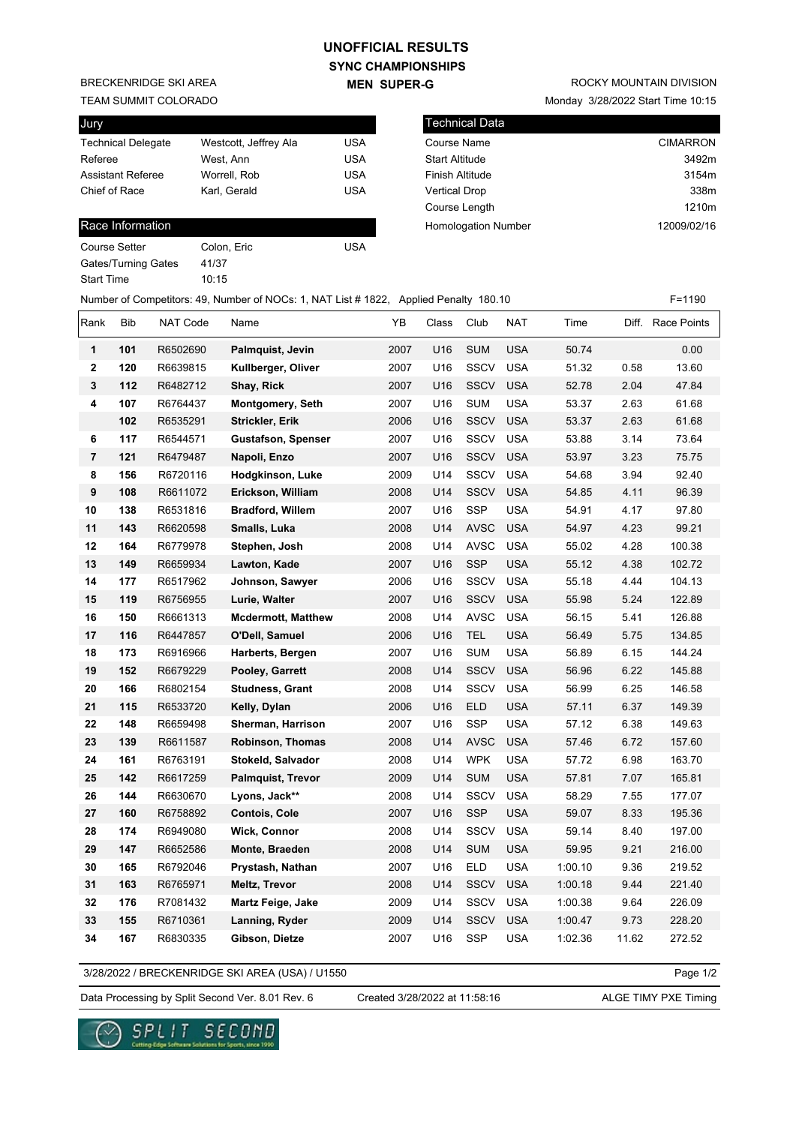## **SYNC CHAMPIONSHIPS UNOFFICIAL RESULTS**

**MEN SUPER-G** 

Number of Competitors: 49, Number of NOCs: 1, NAT List # 1822, Applied Penalty 180.10 F=1190

BRECKENRIDGE SKI AREA

TEAM SUMMIT COLORADO

| Jury                      |                       |            |
|---------------------------|-----------------------|------------|
| <b>Technical Delegate</b> | Westcott, Jeffrey Ala | USA        |
| Referee                   | West. Ann             | <b>USA</b> |
| <b>Assistant Referee</b>  | Worrell, Rob          | <b>USA</b> |
| Chief of Race             | Karl, Gerald          | <b>USA</b> |
|                           |                       |            |

## Race Information

Course Setter Colon, Eric Colon, 2006 Gates/Turning Gates 41/37 Start Time 10:15

Monday 3/28/2022 Start Time 10:15

| l Technical Data           |                 |
|----------------------------|-----------------|
| Course Name                | <b>CIMARRON</b> |
| <b>Start Altitude</b>      | 3492m           |
| Finish Altitude            | 3154m           |
| <b>Vertical Drop</b>       | 338m            |
| Course Length              | 1210m           |
| <b>Homologation Number</b> | 12009/02/16     |
|                            |                 |

Rank Bib NAT Code Name YB Class Club NAT Time Diff. Race Points **1 101** R6502690 **Palmquist, Jevin** 2007 U16 SUM USA 50.74 0.00 **2 120** R6639815 **Kullberger, Oliver** 2007 U16 SSCV USA 51.32 0.58 13.60 **3 112** R6482712 **Shay, Rick** 2007 U16 SSCV USA 52.78 2.04 47.84 **4 107** R6764437 **Montgomery, Seth** 2007 U16 SUM USA 53.37 2.63 61.68  **102** R6535291 **Strickler, Erik** 2006 U16 SSCV USA 53.37 2.63 61.68 **6 117** R6544571 **Gustafson, Spenser** 2007 U16 SSCV USA 53.88 3.14 73.64 **7 121** R6479487 **Napoli, Enzo** 2007 U16 SSCV USA 53.97 3.23 75.75 **8 156** R6720116 **Hodgkinson, Luke** 2009 U14 SSCV USA 54.68 3.94 92.40 **9 108** R6611072 **Erickson, William** 2008 U14 SSCV USA 54.85 4.11 96.39 **10 138** R6531816 **Bradford, Willem** 2007 U16 SSP USA 54.91 4.17 97.80 **11 143** R6620598 **Smalls, Luka** 2008 U14 AVSC USA 54.97 4.23 99.21 **12 164** R6779978 **Stephen, Josh** 2008 U14 AVSC USA 55.02 4.28 100.38 **13 149** R6659934 **Lawton, Kade** 2007 U16 SSP USA 55.12 4.38 102.72 **14 177** R6517962 **Johnson, Sawyer** 2006 U16 SSCV USA 55.18 4.44 104.13 **15 119** R6756955 **Lurie, Walter** 2007 U16 SSCV USA 55.98 5.24 122.89 **16 150** R6661313 **Mcdermott, Matthew** 2008 U14 AVSC USA 56.15 5.41 126.88 **17 116** R6447857 **O'Dell, Samuel** 2006 U16 TEL USA 56.49 5.75 134.85 **18 173** R6916966 **Harberts, Bergen** 2007 U16 SUM USA 56.89 6.15 144.24 **19 152** R6679229 **Pooley, Garrett** 2008 U14 SSCV USA 56.96 6.22 145.88 **20 166** R6802154 **Studness, Grant** 2008 U14 SSCV USA 56.99 6.25 146.58 **21 115** R6533720 **Kelly, Dylan** 2006 U16 ELD USA 57.11 6.37 149.39 **22 148** R6659498 **Sherman, Harrison** 2007 U16 SSP USA 57.12 6.38 149.63 **23 139** R6611587 **Robinson, Thomas** 2008 U14 AVSC USA 57.46 6.72 157.60 **24 161** R6763191 **Stokeld, Salvador** 2008 U14 WPK USA 57.72 6.98 163.70 **25 142** R6617259 **Palmquist, Trevor** 2009 U14 SUM USA 57.81 7.07 165.81 **26 144** R6630670 **Lyons, Jack\*\*** 2008 U14 SSCV USA 58.29 7.55 177.07 **27 160** R6758892 **Contois, Cole** 2007 U16 SSP USA 59.07 8.33 195.36 **28 174** R6949080 **Wick, Connor** 2008 U14 SSCV USA 59.14 8.40 197.00 **29 147** R6652586 **Monte, Braeden** 2008 U14 SUM USA 59.95 9.21 216.00 **30 165** R6792046 **Prystash, Nathan** 2007 U16 ELD USA 1:00.10 9.36 219.52 **31 163** R6765971 **Meltz, Trevor** 2008 U14 SSCV USA 1:00.18 9.44 221.40 **32 176** R7081432 **Martz Feige, Jake** 2009 U14 SSCV USA 1:00.38 9.64 226.09 **33 155** R6710361 **Lanning, Ryder** 2009 U14 SSCV USA 1:00.47 9.73 228.20 **34 167** R6830335 **Gibson, Dietze** 2007 U16 SSP USA 1:02.36 11.62 272.52

3/28/2022 / BRECKENRIDGE SKI AREA (USA) / U1550

Page 1/2

Data Processing by Split Second Ver. 8.01 Rev. 6 Created 3/28/2022 at 11:58:16 ALGE TIMY PXE Timing

Created 3/28/2022 at 11:58:16